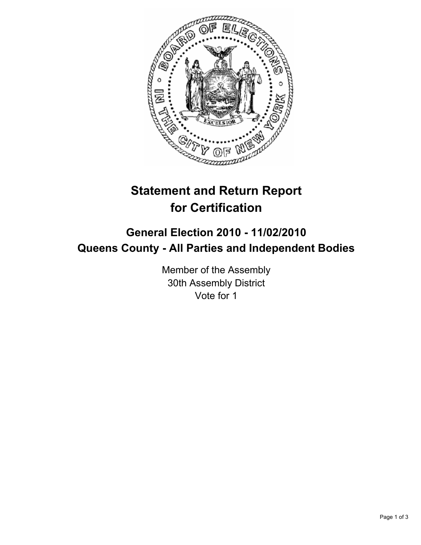

## **Statement and Return Report for Certification**

## **General Election 2010 - 11/02/2010 Queens County - All Parties and Independent Bodies**

Member of the Assembly 30th Assembly District Vote for 1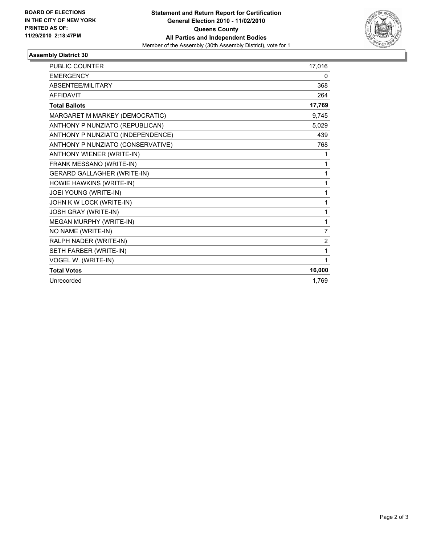

## **Assembly District 30**

| <b>PUBLIC COUNTER</b>              | 17,016         |
|------------------------------------|----------------|
| <b>EMERGENCY</b>                   | 0              |
| ABSENTEE/MILITARY                  | 368            |
| <b>AFFIDAVIT</b>                   | 264            |
| <b>Total Ballots</b>               | 17,769         |
| MARGARET M MARKEY (DEMOCRATIC)     | 9,745          |
| ANTHONY P NUNZIATO (REPUBLICAN)    | 5,029          |
| ANTHONY P NUNZIATO (INDEPENDENCE)  | 439            |
| ANTHONY P NUNZIATO (CONSERVATIVE)  | 768            |
| ANTHONY WIENER (WRITE-IN)          | 1              |
| FRANK MESSANO (WRITE-IN)           | 1              |
| <b>GERARD GALLAGHER (WRITE-IN)</b> | 1              |
| HOWIE HAWKINS (WRITE-IN)           | 1              |
| JOEI YOUNG (WRITE-IN)              | 1              |
| JOHN K W LOCK (WRITE-IN)           | 1              |
| JOSH GRAY (WRITE-IN)               | 1              |
| MEGAN MURPHY (WRITE-IN)            | 1              |
| NO NAME (WRITE-IN)                 | 7              |
| RALPH NADER (WRITE-IN)             | $\overline{2}$ |
| SETH FARBER (WRITE-IN)             | 1              |
| VOGEL W. (WRITE-IN)                | 1              |
| <b>Total Votes</b>                 | 16,000         |
| Unrecorded                         | 1.769          |